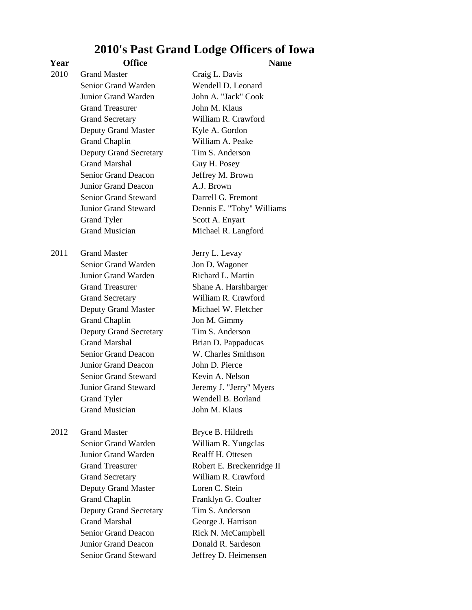## **2010's Past Grand Lodge Officers of Iowa**

## **Year Office Name**

| 2010 | <b>Grand Master</b>           | Craig L. Davis            |
|------|-------------------------------|---------------------------|
|      | Senior Grand Warden           | Wendell D. Leonard        |
|      | Junior Grand Warden           | John A. "Jack" Cook       |
|      | <b>Grand Treasurer</b>        | John M. Klaus             |
|      | <b>Grand Secretary</b>        | William R. Crawford       |
|      | Deputy Grand Master           | Kyle A. Gordon            |
|      | <b>Grand Chaplin</b>          | William A. Peake          |
|      | <b>Deputy Grand Secretary</b> | Tim S. Anderson           |
|      | <b>Grand Marshal</b>          | Guy H. Posey              |
|      | <b>Senior Grand Deacon</b>    | Jeffrey M. Brown          |
|      | Junior Grand Deacon           | A.J. Brown                |
|      | Senior Grand Steward          | Darrell G. Fremont        |
|      | Junior Grand Steward          | Dennis E. "Toby" Williams |
|      | <b>Grand Tyler</b>            | Scott A. Enyart           |
|      | <b>Grand Musician</b>         | Michael R. Langford       |
| 2011 | <b>Grand Master</b>           | Jerry L. Levay            |
|      | Senior Grand Warden           | Jon D. Wagoner            |
|      | Junior Grand Warden           | Richard L. Martin         |
|      | <b>Grand Treasurer</b>        | Shane A. Harshbarger      |
|      | <b>Grand Secretary</b>        | William R. Crawford       |
|      | Deputy Grand Master           | Michael W. Fletcher       |
|      | <b>Grand Chaplin</b>          | Jon M. Gimmy              |
|      | <b>Deputy Grand Secretary</b> | Tim S. Anderson           |
|      | <b>Grand Marshal</b>          | Brian D. Pappaducas       |
|      | Senior Grand Deacon           | W. Charles Smithson       |
|      | <b>Junior Grand Deacon</b>    | John D. Pierce            |
|      | <b>Senior Grand Steward</b>   | Kevin A. Nelson           |
|      | Junior Grand Steward          | Jeremy J. "Jerry" Myers   |
|      | <b>Grand Tyler</b>            | Wendell B. Borland        |
|      | <b>Grand Musician</b>         | John M. Klaus             |
| 2012 | <b>Grand Master</b>           | Bryce B. Hildreth         |
|      | Senior Grand Warden           | William R. Yungclas       |
|      | Junior Grand Warden           | Realff H. Ottesen         |
|      | <b>Grand Treasurer</b>        | Robert E. Breckenridge II |
|      | <b>Grand Secretary</b>        | William R. Crawford       |
|      | <b>Deputy Grand Master</b>    | Loren C. Stein            |
|      | <b>Grand Chaplin</b>          | Franklyn G. Coulter       |
|      | <b>Deputy Grand Secretary</b> | Tim S. Anderson           |
|      | <b>Grand Marshal</b>          | George J. Harrison        |
|      | <b>Senior Grand Deacon</b>    | Rick N. McCampbell        |
|      | Junior Grand Deacon           | Donald R. Sardeson        |
|      | Senior Grand Steward          | Jeffrey D. Heimensen      |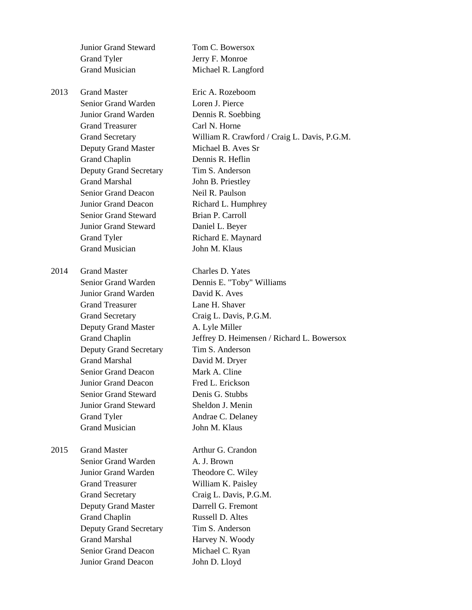Junior Grand Steward Tom C. Bowersox Grand Tyler **Jerry F. Monroe** Grand Musician Michael R. Langford 2013 Grand Master Eric A. Rozeboom Senior Grand Warden Loren J. Pierce Junior Grand Warden Dennis R. Soebbing Grand Treasurer Carl N. Horne Grand Secretary William R. Crawford / Craig L. Davis, P.G.M. Deputy Grand Master Michael B. Aves Sr Grand Chaplin Dennis R. Heflin Deputy Grand Secretary Tim S. Anderson Grand Marshal **John B. Priestley** Senior Grand Deacon Neil R. Paulson Junior Grand Deacon Richard L. Humphrey Senior Grand Steward Brian P. Carroll Junior Grand Steward Daniel L. Beyer Grand Tyler Richard E. Maynard Grand Musician John M. Klaus 2014 Grand Master Charles D. Yates Senior Grand Warden Dennis E. "Toby" Williams Junior Grand Warden David K. Aves Grand Treasurer Lane H. Shaver Grand Secretary Craig L. Davis, P.G.M. Deputy Grand Master **A. Lyle Miller** Grand Chaplin Jeffrey D. Heimensen / Richard L. Bowersox Deputy Grand Secretary Tim S. Anderson Grand Marshal David M. Dryer Senior Grand Deacon Mark A. Cline Junior Grand Deacon Fred L. Erickson Senior Grand Steward Denis G. Stubbs Junior Grand Steward Sheldon J. Menin Grand Tyler Andrae C. Delaney Grand Musician John M. Klaus 2015 Grand Master **Arthur G. Crandon** Senior Grand Warden A. J. Brown Junior Grand Warden Theodore C. Wiley Grand Treasurer William K. Paisley Grand Secretary Craig L. Davis, P.G.M. Deputy Grand Master Darrell G. Fremont Grand Chaplin Russell D. Altes Deputy Grand Secretary Tim S. Anderson Grand Marshal Harvey N. Woody Senior Grand Deacon Michael C. Ryan Junior Grand Deacon John D. Lloyd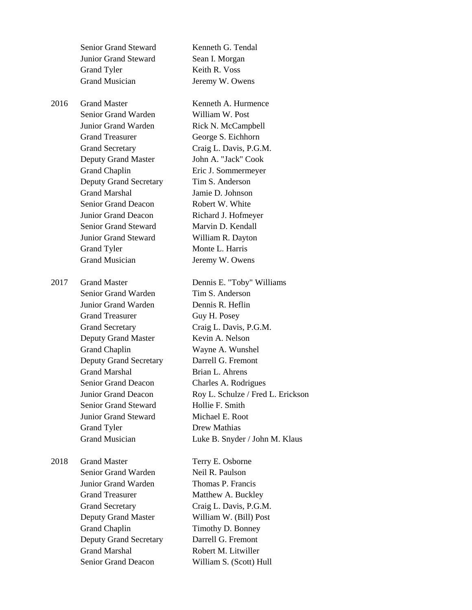|      | Senior Grand Steward          | Kenneth G. Tendal                 |
|------|-------------------------------|-----------------------------------|
|      | <b>Junior Grand Steward</b>   | Sean I. Morgan                    |
|      | <b>Grand Tyler</b>            | Keith R. Voss                     |
|      | <b>Grand Musician</b>         | Jeremy W. Owens                   |
| 2016 | <b>Grand Master</b>           | Kenneth A. Hurmence               |
|      | Senior Grand Warden           | William W. Post                   |
|      | Junior Grand Warden           | Rick N. McCampbell                |
|      | <b>Grand Treasurer</b>        | George S. Eichhorn                |
|      | <b>Grand Secretary</b>        | Craig L. Davis, P.G.M.            |
|      | Deputy Grand Master           | John A. "Jack" Cook               |
|      | <b>Grand Chaplin</b>          | Eric J. Sommermeyer               |
|      | <b>Deputy Grand Secretary</b> | Tim S. Anderson                   |
|      | <b>Grand Marshal</b>          | Jamie D. Johnson                  |
|      | <b>Senior Grand Deacon</b>    | Robert W. White                   |
|      | Junior Grand Deacon           | Richard J. Hofmeyer               |
|      | <b>Senior Grand Steward</b>   | Marvin D. Kendall                 |
|      | <b>Junior Grand Steward</b>   | William R. Dayton                 |
|      | <b>Grand Tyler</b>            | Monte L. Harris                   |
|      | <b>Grand Musician</b>         | Jeremy W. Owens                   |
| 2017 | <b>Grand Master</b>           | Dennis E. "Toby" Williams         |
|      | Senior Grand Warden           | Tim S. Anderson                   |
|      | Junior Grand Warden           | Dennis R. Heflin                  |
|      | <b>Grand Treasurer</b>        | Guy H. Posey                      |
|      | <b>Grand Secretary</b>        | Craig L. Davis, P.G.M.            |
|      | Deputy Grand Master           | Kevin A. Nelson                   |
|      | <b>Grand Chaplin</b>          | Wayne A. Wunshel                  |
|      | <b>Deputy Grand Secretary</b> | Darrell G. Fremont                |
|      | <b>Grand Marshal</b>          | Brian L. Ahrens                   |
|      | Senior Grand Deacon           | Charles A. Rodrigues              |
|      | Junior Grand Deacon           | Roy L. Schulze / Fred L. Erickson |
|      | Senior Grand Steward          | Hollie F. Smith                   |
|      | <b>Junior Grand Steward</b>   | Michael E. Root                   |
|      | Grand Tyler                   | Drew Mathias                      |
|      | <b>Grand Musician</b>         | Luke B. Snyder / John M. Klaus    |
| 2018 | <b>Grand Master</b>           | Terry E. Osborne                  |
|      | Senior Grand Warden           | Neil R. Paulson                   |
|      | Junior Grand Warden           | Thomas P. Francis                 |
|      | <b>Grand Treasurer</b>        | Matthew A. Buckley                |
|      | <b>Grand Secretary</b>        | Craig L. Davis, P.G.M.            |
|      | Deputy Grand Master           | William W. (Bill) Post            |
|      | <b>Grand Chaplin</b>          | Timothy D. Bonney                 |
|      | <b>Deputy Grand Secretary</b> | Darrell G. Fremont                |
|      | <b>Grand Marshal</b>          | Robert M. Litwiller               |
|      | <b>Senior Grand Deacon</b>    | William S. (Scott) Hull           |
|      |                               |                                   |